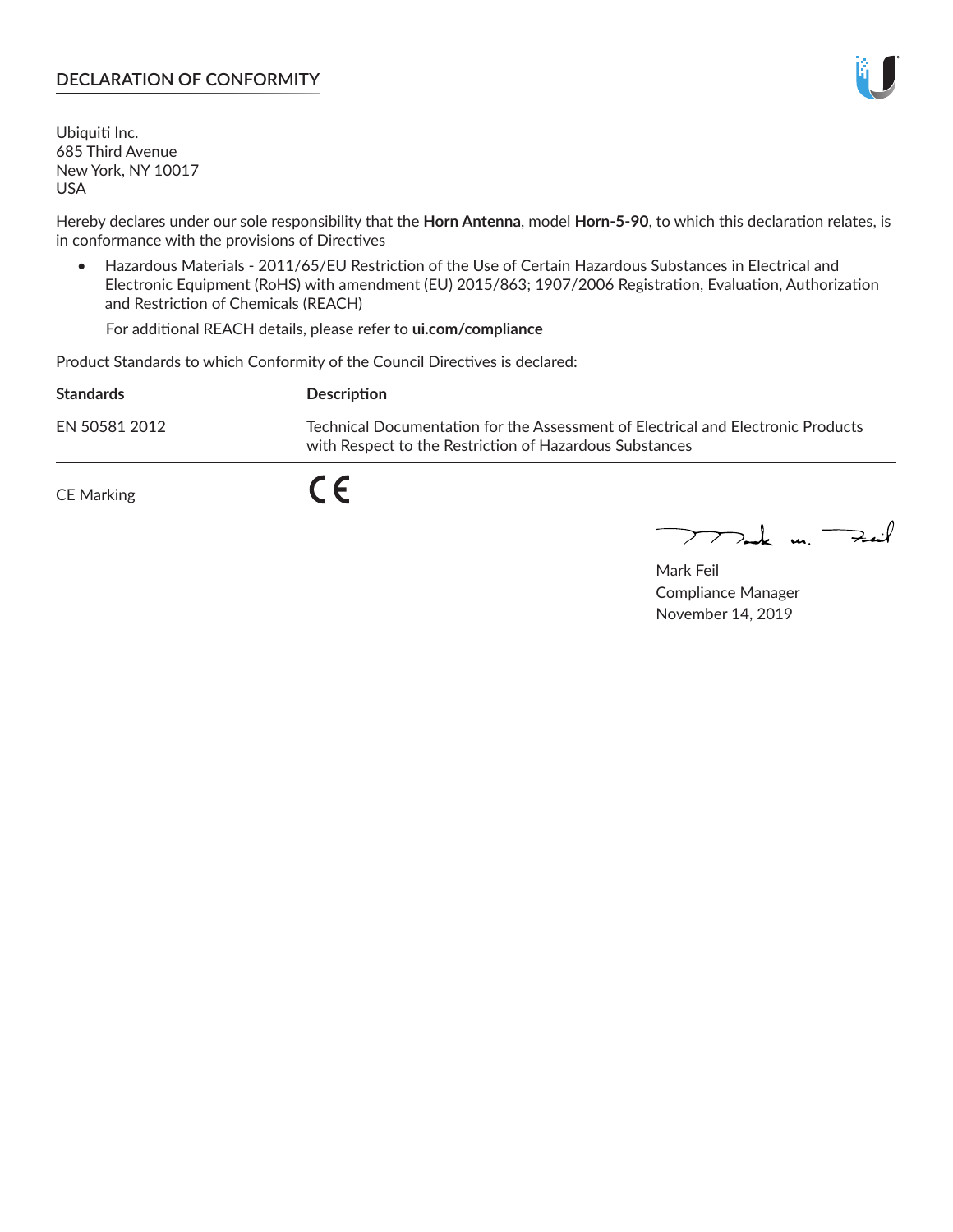## **DECLARATION OF CONFORMITY**

Ubiquiti Inc. 685 Third Avenue New York, NY 10017 USA

Hereby declares under our sole responsibility that the **Horn Antenna**, model **Horn-5-90**, to which this declaration relates, is in conformance with the provisions of Directives

• Hazardous Materials - 2011/65/EU Restriction of the Use of Certain Hazardous Substances in Electrical and Electronic Equipment (RoHS) with amendment (EU) 2015/863; 1907/2006 Registration, Evaluation, Authorization and Restriction of Chemicals (REACH)

For additional REACH details, please refer to **ui.com/compliance**

Product Standards to which Conformity of the Council Directives is declared:

| <b>Standards</b>  | Description                                                                                                                                 |
|-------------------|---------------------------------------------------------------------------------------------------------------------------------------------|
| EN 50581 2012     | Technical Documentation for the Assessment of Electrical and Electronic Products<br>with Respect to the Restriction of Hazardous Substances |
| <b>CE Marking</b> |                                                                                                                                             |

 $\sum_{n=1}^{\infty}$  un  $\sum_{n=1}^{\infty}$ 

Mark Feil Compliance Manager November 14, 2019

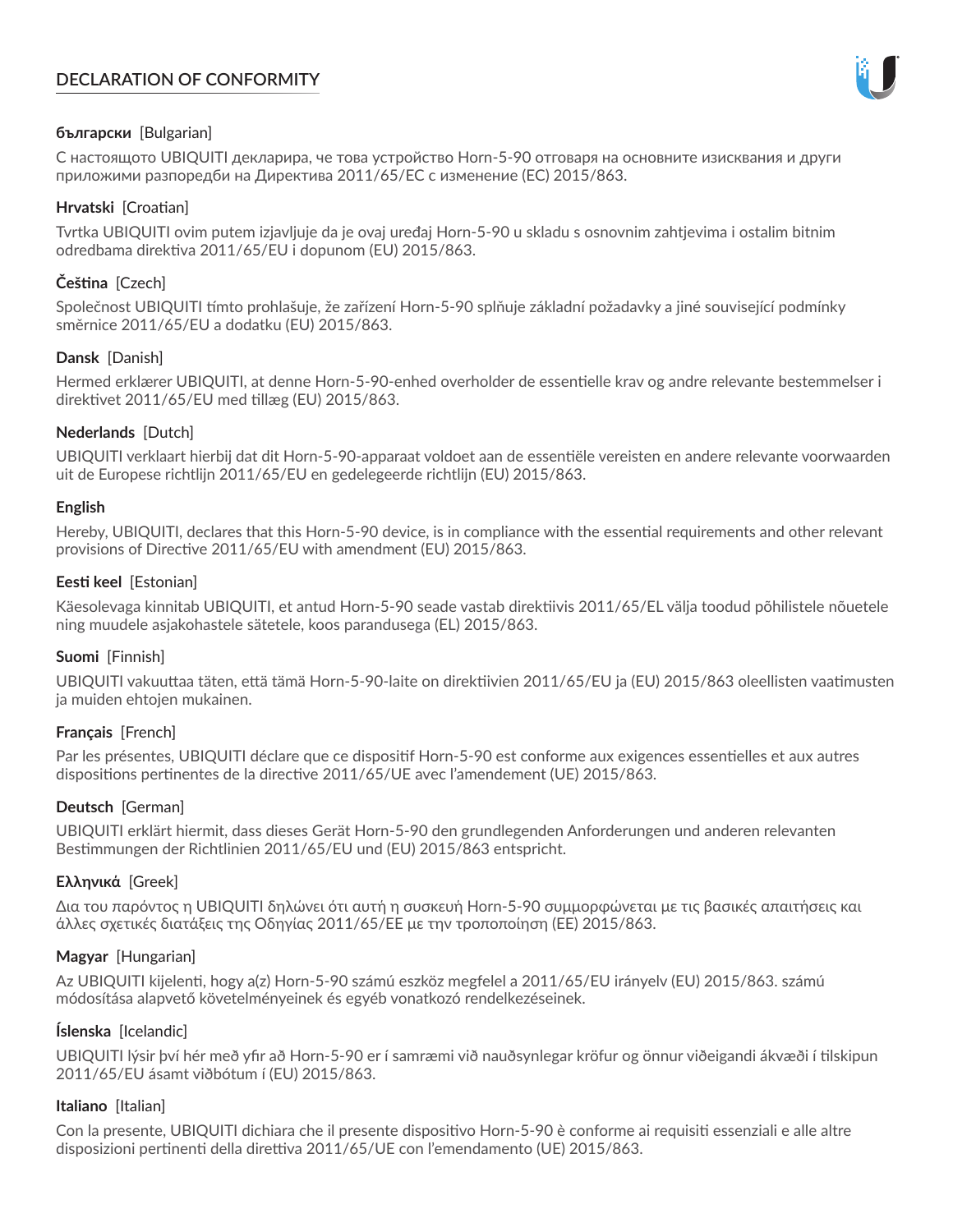# **DECLARATION OF CONFORMITY**



## **български** [Bulgarian]

С настоящото UBIQUITI декларира, че това устройство Horn-5-90 отговаря на основните изисквания и други приложими разпоредби на Директива 2011/65/ЕС с изменение (ЕС) 2015/863.

## **Hrvatski** [Croatian]

Tvrtka UBIQUITI ovim putem izjavljuje da je ovaj uređaj Horn-5-90 u skladu s osnovnim zahtjevima i ostalim bitnim odredbama direktiva 2011/65/EU i dopunom (EU) 2015/863.

## **Čeština** [Czech]

Společnost UBIQUITI tímto prohlašuje, že zařízení Horn-5-90 splňuje základní požadavky a jiné související podmínky směrnice 2011/65/EU a dodatku (EU) 2015/863.

## **Dansk** [Danish]

Hermed erklærer UBIQUITI, at denne Horn-5-90-enhed overholder de essentielle krav og andre relevante bestemmelser i direktivet 2011/65/EU med tillæg (EU) 2015/863.

## **Nederlands** [Dutch]

UBIQUITI verklaart hierbij dat dit Horn-5-90-apparaat voldoet aan de essentiële vereisten en andere relevante voorwaarden uit de Europese richtlijn 2011/65/EU en gedelegeerde richtlijn (EU) 2015/863.

#### **English**

Hereby, UBIQUITI, declares that this Horn-5-90 device, is in compliance with the essential requirements and other relevant provisions of Directive 2011/65/EU with amendment (EU) 2015/863.

## **Eesti keel** [Estonian]

Käesolevaga kinnitab UBIQUITI, et antud Horn-5-90 seade vastab direktiivis 2011/65/EL välja toodud põhilistele nõuetele ning muudele asjakohastele sätetele, koos parandusega (EL) 2015/863.

## **Suomi** [Finnish]

UBIQUITI vakuuttaa täten, että tämä Horn-5-90-laite on direktiivien 2011/65/EU ja (EU) 2015/863 oleellisten vaatimusten ja muiden ehtojen mukainen.

#### **Français** [French]

Par les présentes, UBIQUITI déclare que ce dispositif Horn-5-90 est conforme aux exigences essentielles et aux autres dispositions pertinentes de la directive 2011/65/UE avec l'amendement (UE) 2015/863.

## **Deutsch** [German]

UBIQUITI erklärt hiermit, dass dieses Gerät Horn-5-90 den grundlegenden Anforderungen und anderen relevanten Bestimmungen der Richtlinien 2011/65/EU und (EU) 2015/863 entspricht.

#### **Ελληνικά** [Greek]

Δια του παρόντος η UBIQUITI δηλώνει ότι αυτή η συσκευή Horn-5-90 συμμορφώνεται με τις βασικές απαιτήσεις και άλλες σχετικές διατάξεις της Οδηγίας 2011/65/ΕΕ με την τροποποίηση (ΕΕ) 2015/863.

#### **Magyar** [Hungarian]

Az UBIQUITI kijelenti, hogy a(z) Horn-5-90 számú eszköz megfelel a 2011/65/EU irányelv (EU) 2015/863. számú módosítása alapvető követelményeinek és egyéb vonatkozó rendelkezéseinek.

#### **Íslenska** [Icelandic]

UBIQUITI lýsir því hér með yfir að Horn-5-90 er í samræmi við nauðsynlegar kröfur og önnur viðeigandi ákvæði í tilskipun 2011/65/EU ásamt viðbótum í (EU) 2015/863.

#### **Italiano** [Italian]

Con la presente, UBIQUITI dichiara che il presente dispositivo Horn-5-90 è conforme ai requisiti essenziali e alle altre disposizioni pertinenti della direttiva 2011/65/UE con l'emendamento (UE) 2015/863.